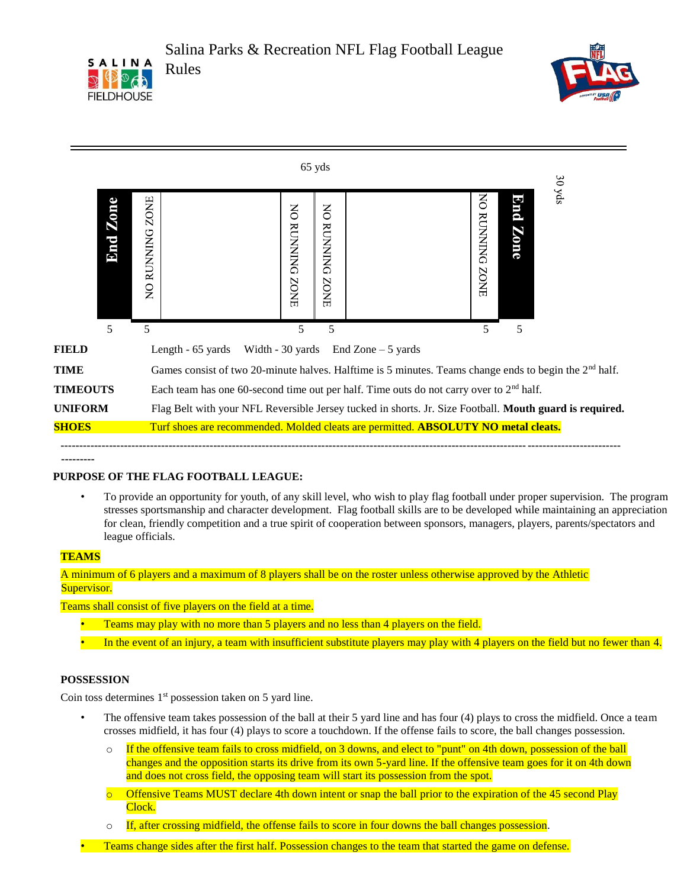





**---------** 

## **PURPOSE OF THE FLAG FOOTBALL LEAGUE:**

• To provide an opportunity for youth, of any skill level, who wish to play flag football under proper supervision. The program stresses sportsmanship and character development. Flag football skills are to be developed while maintaining an appreciation for clean, friendly competition and a true spirit of cooperation between sponsors, managers, players, parents/spectators and league officials.

#### **TEAMS**

A minimum of 6 players and a maximum of 8 players shall be on the roster unless otherwise approved by the Athletic Supervisor.

Teams shall consist of five players on the field at a time.

- Teams may play with no more than 5 players and no less than 4 players on the field.
- In the event of an injury, a team with insufficient substitute players may play with 4 players on the field but no fewer than 4.

## **POSSESSION**

Coin toss determines 1<sup>st</sup> possession taken on 5 yard line.

- The offensive team takes possession of the ball at their 5 yard line and has four (4) plays to cross the midfield. Once a team crosses midfield, it has four (4) plays to score a touchdown. If the offense fails to score, the ball changes possession.
	- $\circ$  If the offensive team fails to cross midfield, on 3 downs, and elect to "punt" on 4th down, possession of the ball changes and the opposition starts its drive from its own 5-yard line. If the offensive team goes for it on 4th down and does not cross field, the opposing team will start its possession from the spot.
	- o Offensive Teams MUST declare 4th down intent or snap the ball prior to the expiration of the 45 second Play Clock.
	- o If, after crossing midfield, the offense fails to score in four downs the ball changes possession.
- Teams change sides after the first half. Possession changes to the team that started the game on defense.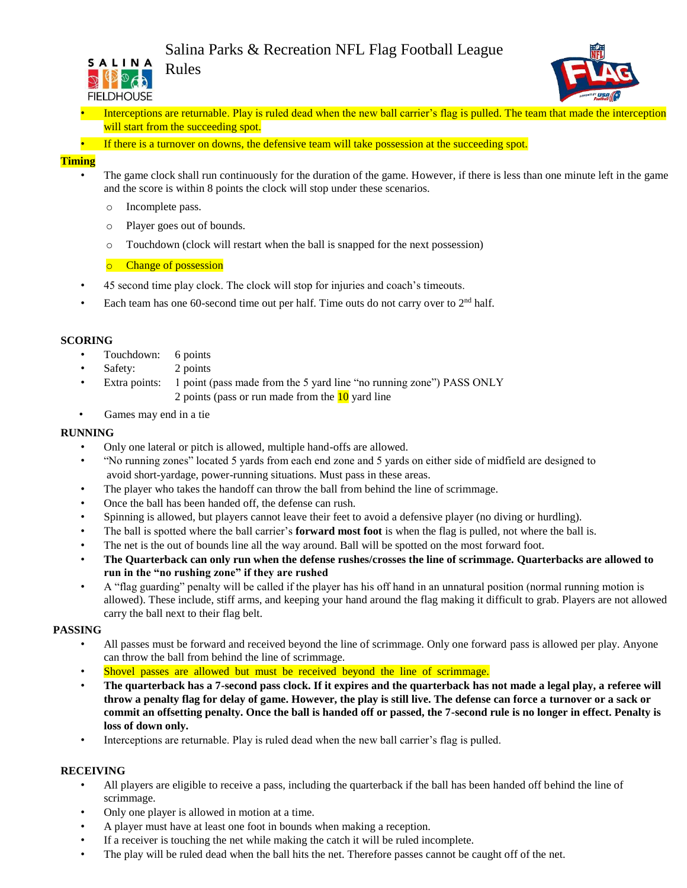# Salina Parks & Recreation NFL Flag Football League<br>SALINA Delas





- Interceptions are returnable. Play is ruled dead when the new ball carrier's flag is pulled. The team that made the interception will start from the succeeding spot.
- If there is a turnover on downs, the defensive team will take possession at the succeeding spot.

#### **Timing**

- The game clock shall run continuously for the duration of the game. However, if there is less than one minute left in the game and the score is within 8 points the clock will stop under these scenarios.
	- o Incomplete pass.
	- o Player goes out of bounds.

Rules

o Touchdown (clock will restart when the ball is snapped for the next possession)

o Change of possession

- 45 second time play clock. The clock will stop for injuries and coach's timeouts.
- Each team has one 60-second time out per half. Time outs do not carry over to  $2<sup>nd</sup>$  half.

#### **SCORING**

- Touchdown: 6 points
- Safety: 2 points
- Extra points: 1 point (pass made from the 5 yard line "no running zone") PASS ONLY 2 points (pass or run made from the  $\frac{10}{2}$  yard line
- Games may end in a tie

#### **RUNNING**

- Only one lateral or pitch is allowed, multiple hand-offs are allowed.
- "No running zones" located 5 yards from each end zone and 5 yards on either side of midfield are designed to avoid short-yardage, power-running situations. Must pass in these areas.
- The player who takes the handoff can throw the ball from behind the line of scrimmage.
- Once the ball has been handed off, the defense can rush.
- Spinning is allowed, but players cannot leave their feet to avoid a defensive player (no diving or hurdling).
- The ball is spotted where the ball carrier's **forward most foot** is when the flag is pulled, not where the ball is.
- The net is the out of bounds line all the way around. Ball will be spotted on the most forward foot.
- **The Quarterback can only run when the defense rushes/crosses the line of scrimmage. Quarterbacks are allowed to run in the "no rushing zone" if they are rushed**
- A "flag guarding" penalty will be called if the player has his off hand in an unnatural position (normal running motion is allowed). These include, stiff arms, and keeping your hand around the flag making it difficult to grab. Players are not allowed carry the ball next to their flag belt.

#### **PASSING**

- All passes must be forward and received beyond the line of scrimmage. Only one forward pass is allowed per play. Anyone can throw the ball from behind the line of scrimmage.
- Shovel passes are allowed but must be received beyond the line of scrimmage.
- **The quarterback has a 7-second pass clock. If it expires and the quarterback has not made a legal play, a referee will throw a penalty flag for delay of game. However, the play is still live. The defense can force a turnover or a sack or commit an offsetting penalty. Once the ball is handed off or passed, the 7-second rule is no longer in effect. Penalty is loss of down only.**
- Interceptions are returnable. Play is ruled dead when the new ball carrier's flag is pulled.

#### **RECEIVING**

- All players are eligible to receive a pass, including the quarterback if the ball has been handed off behind the line of scrimmage.
- Only one player is allowed in motion at a time.
- A player must have at least one foot in bounds when making a reception.
- If a receiver is touching the net while making the catch it will be ruled incomplete.
- The play will be ruled dead when the ball hits the net. Therefore passes cannot be caught off of the net.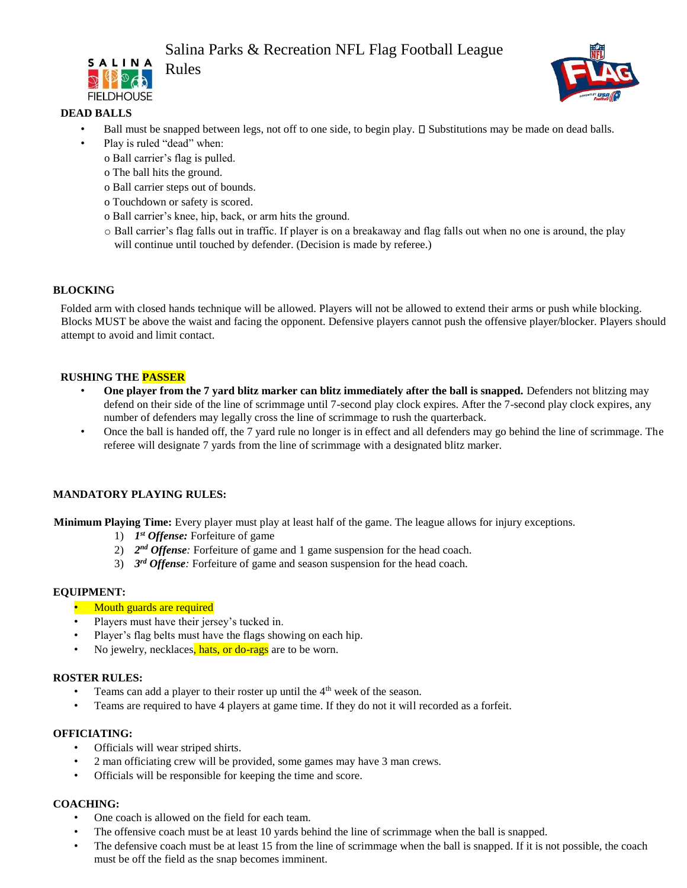# Salina Parks & Recreation NFL Flag Football League<br>
SALINA Delse





## **DEAD BALLS**

- Ball must be snapped between legs, not off to one side, to begin play.  $\square$  Substitutions may be made on dead balls.
- Play is ruled "dead" when:
	- o Ball carrier's flag is pulled.
	- o The ball hits the ground.
	- o Ball carrier steps out of bounds.
	- o Touchdown or safety is scored.
	- o Ball carrier's knee, hip, back, or arm hits the ground.
	- o Ball carrier's flag falls out in traffic. If player is on a breakaway and flag falls out when no one is around, the play will continue until touched by defender. (Decision is made by referee.)

#### **BLOCKING**

Folded arm with closed hands technique will be allowed. Players will not be allowed to extend their arms or push while blocking. Blocks MUST be above the waist and facing the opponent. Defensive players cannot push the offensive player/blocker. Players should attempt to avoid and limit contact.

#### **RUSHING THE PASSER**

- **One player from the 7 yard blitz marker can blitz immediately after the ball is snapped.** Defenders not blitzing may defend on their side of the line of scrimmage until 7-second play clock expires. After the 7-second play clock expires, any number of defenders may legally cross the line of scrimmage to rush the quarterback.
- Once the ball is handed off, the 7 yard rule no longer is in effect and all defenders may go behind the line of scrimmage. The referee will designate 7 yards from the line of scrimmage with a designated blitz marker.

#### **MANDATORY PLAYING RULES:**

**Minimum Playing Time:** Every player must play at least half of the game. The league allows for injury exceptions.

- 1) *1 st Offense:* Forfeiture of game
- 2) 2<sup>nd</sup> Offense: Forfeiture of game and 1 game suspension for the head coach.
- 3) *3 rd Offense:* Forfeiture of game and season suspension for the head coach.

#### **EQUIPMENT:**

- Mouth guards are required
- Players must have their jersey's tucked in.
- Player's flag belts must have the flags showing on each hip.
- No jewelry, necklaces, hats, or do-rags are to be worn.

#### **ROSTER RULES:**

- Teams can add a player to their roster up until the  $4<sup>th</sup>$  week of the season.
- Teams are required to have 4 players at game time. If they do not it will recorded as a forfeit.

#### **OFFICIATING:**

- Officials will wear striped shirts.
- 2 man officiating crew will be provided, some games may have 3 man crews.
- Officials will be responsible for keeping the time and score.

#### **COACHING:**

- One coach is allowed on the field for each team.
- The offensive coach must be at least 10 yards behind the line of scrimmage when the ball is snapped.
- The defensive coach must be at least 15 from the line of scrimmage when the ball is snapped. If it is not possible, the coach must be off the field as the snap becomes imminent.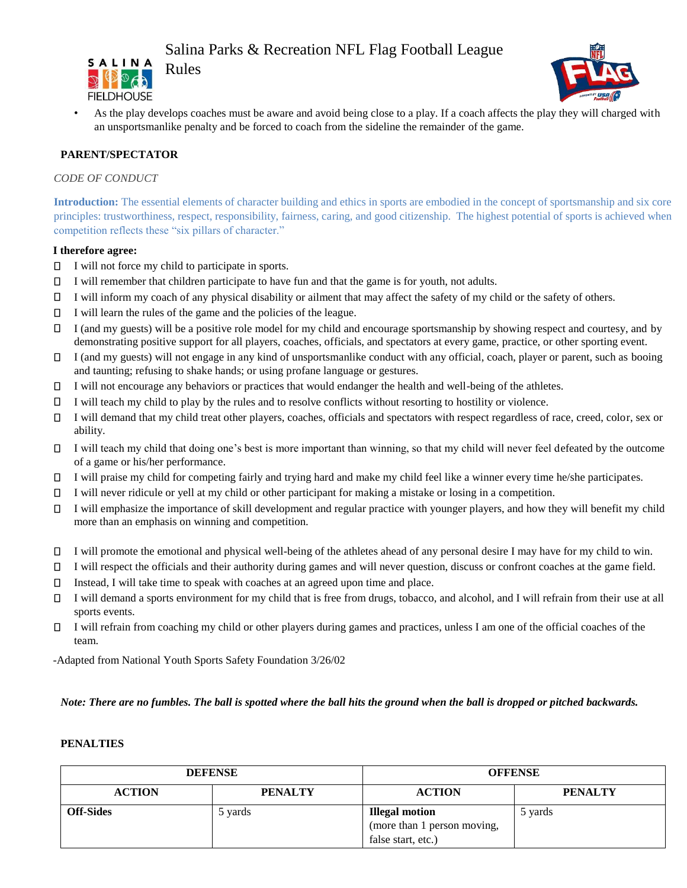# Salina Parks & Recreation NFL Flag Football League





• As the play develops coaches must be aware and avoid being close to a play. If a coach affects the play they will charged with an unsportsmanlike penalty and be forced to coach from the sideline the remainder of the game.

## **PARENT/SPECTATOR**

#### *CODE OF CONDUCT*

**Introduction:** The essential elements of character building and ethics in sports are embodied in the concept of sportsmanship and six core principles: trustworthiness, respect, responsibility, fairness, caring, and good citizenship. The highest potential of sports is achieved when competition reflects these "six pillars of character."

#### **I therefore agree:**

- $\Box$  I will not force my child to participate in sports.
- $\Box$ I will remember that children participate to have fun and that the game is for youth, not adults.
- $\Box$ I will inform my coach of any physical disability or ailment that may affect the safety of my child or the safety of others.
- $\Box$ I will learn the rules of the game and the policies of the league.
- $\Box$ I (and my guests) will be a positive role model for my child and encourage sportsmanship by showing respect and courtesy, and by demonstrating positive support for all players, coaches, officials, and spectators at every game, practice, or other sporting event.
- I (and my guests) will not engage in any kind of unsportsmanlike conduct with any official, coach, player or parent, such as booing  $\Box$ and taunting; refusing to shake hands; or using profane language or gestures.
- $\Box$ I will not encourage any behaviors or practices that would endanger the health and well-being of the athletes.
- $\Box$ I will teach my child to play by the rules and to resolve conflicts without resorting to hostility or violence.
- $\Box$ I will demand that my child treat other players, coaches, officials and spectators with respect regardless of race, creed, color, sex or ability.
- $\Box$ I will teach my child that doing one's best is more important than winning, so that my child will never feel defeated by the outcome of a game or his/her performance.
- I will praise my child for competing fairly and trying hard and make my child feel like a winner every time he/she participates.  $\Box$
- $\Box$ I will never ridicule or yell at my child or other participant for making a mistake or losing in a competition.
- $\Box$ I will emphasize the importance of skill development and regular practice with younger players, and how they will benefit my child more than an emphasis on winning and competition.
- I will promote the emotional and physical well-being of the athletes ahead of any personal desire I may have for my child to win.
- $\Box$ I will respect the officials and their authority during games and will never question, discuss or confront coaches at the game field.
- $\Box$ Instead, I will take time to speak with coaches at an agreed upon time and place.
- $\Box$ I will demand a sports environment for my child that is free from drugs, tobacco, and alcohol, and I will refrain from their use at all sports events.
- $\Box$ I will refrain from coaching my child or other players during games and practices, unless I am one of the official coaches of the team.

-Adapted from National Youth Sports Safety Foundation 3/26/02

*Note: There are no fumbles. The ball is spotted where the ball hits the ground when the ball is dropped or pitched backwards.*

#### **PENALTIES**

| <b>DEFENSE</b>   |                | <b>OFFENSE</b>              |                |
|------------------|----------------|-----------------------------|----------------|
| <b>ACTION</b>    | <b>PENALTY</b> | <b>ACTION</b>               | <b>PENALTY</b> |
| <b>Off-Sides</b> | 5 yards        | <b>Illegal motion</b>       | 5 yards        |
|                  |                | (more than 1 person moving, |                |
|                  |                | false start, etc.)          |                |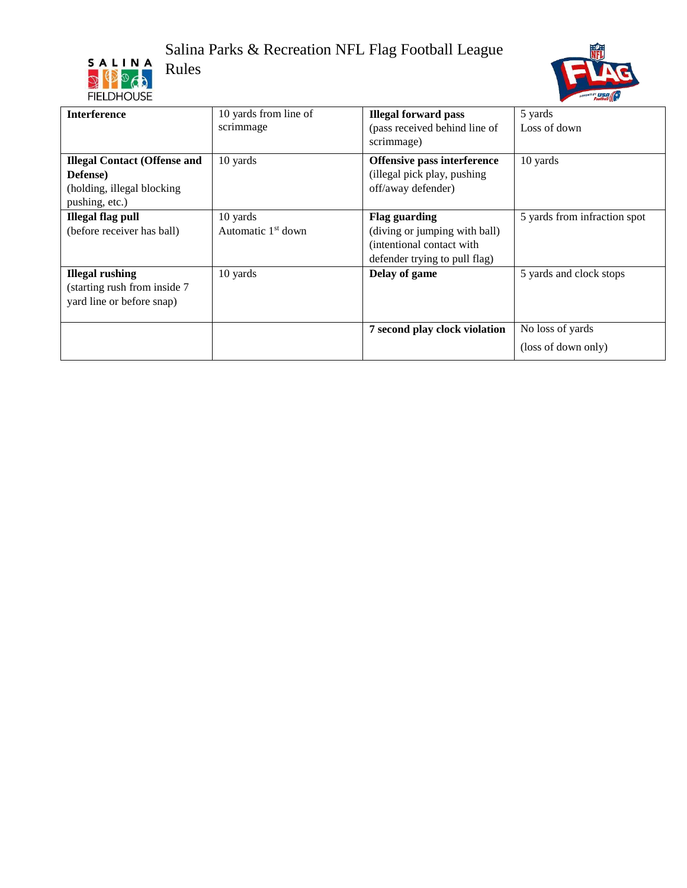# Salina Parks & Recreation NFL Flag Football League<br>Rules<br>FIELDHOUSE Rules





| <b>Interference</b>                 | 10 yards from line of          | <b>Illegal forward pass</b>   | 5 yards                      |
|-------------------------------------|--------------------------------|-------------------------------|------------------------------|
|                                     | scrimmage                      | (pass received behind line of | Loss of down                 |
|                                     |                                | scrimmage)                    |                              |
| <b>Illegal Contact (Offense and</b> | 10 yards                       | Offensive pass interference   | 10 yards                     |
| Defense)                            |                                | (illegal pick play, pushing   |                              |
| (holding, illegal blocking          |                                | off/away defender)            |                              |
| pushing, etc.)                      |                                |                               |                              |
| <b>Illegal flag pull</b>            | 10 yards                       | <b>Flag guarding</b>          | 5 yards from infraction spot |
| (before receiver has ball)          | Automatic 1 <sup>st</sup> down | (diving or jumping with ball) |                              |
|                                     |                                | (intentional contact with     |                              |
|                                     |                                | defender trying to pull flag) |                              |
| <b>Illegal rushing</b>              | 10 yards                       | Delay of game                 | 5 yards and clock stops      |
| (starting rush from inside 7        |                                |                               |                              |
| yard line or before snap)           |                                |                               |                              |
|                                     |                                |                               |                              |
|                                     |                                | 7 second play clock violation | No loss of yards             |
|                                     |                                |                               | (loss of down only)          |
|                                     |                                |                               |                              |